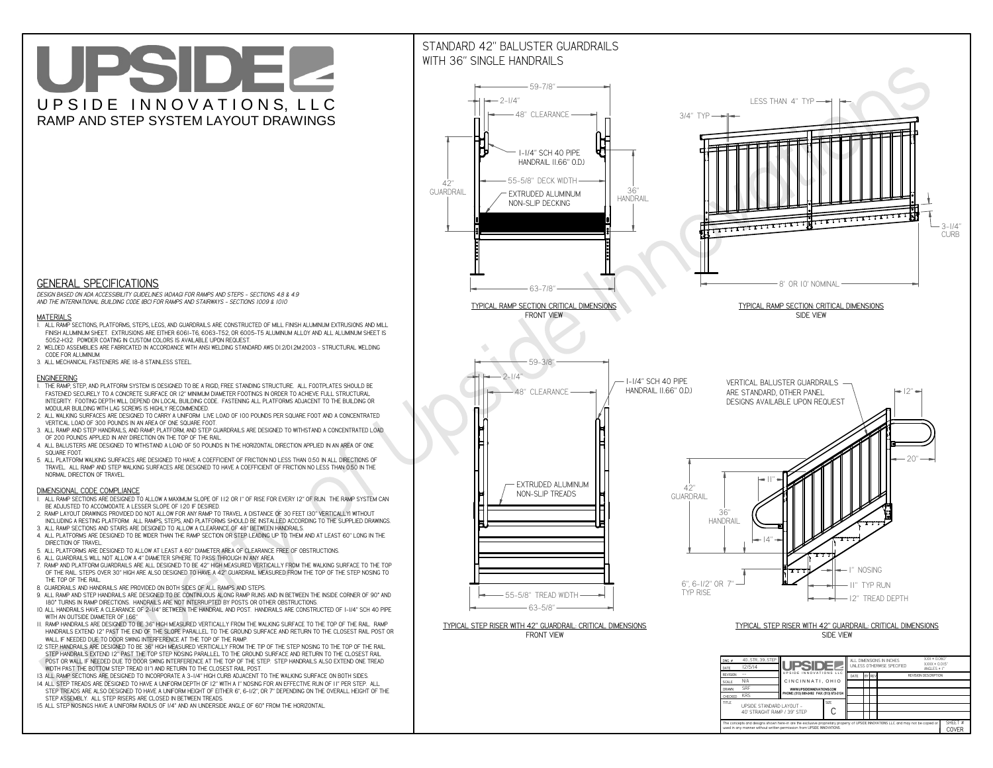**used in any manner without written permission from UPSIDE INNOVATIONS.**

# UPSIDEL UPSIDE INNOVATIONS, LLC RAMP AND STEP SYSTEM LAYOUT DRAWINGS

SHEET #**COVER**



The concepts and designs shown here-in are the exclusive proprietary property of UPSIDE INNOVATIONS LLC. and may not be copied o

**H** 

# WITH 36" SINGLE HANDRAILS



 *DESIGN BASED ON ADA ACCESSIBILITY GUIDELINES (ADAAG) FOR RAMPS AND STEPS - SECTIONS 4.8 & 4.9AND THE INTERNATIONAL BUILDING CODE (IBC) FOR RAMPS AND STAIRWAYS - SECTIONS 1009 & 1010*

### **MATERIALS**

- **1. ALL RAMP SECTIONS, PLATFORMS, STEPS, LEGS, AND GUARDRAILS ARE CONSTRUCTED OF MILL FINISH ALUMINUM EXTRUSIONS AND MILL FINISH ALUMINUM SHEET. EXTRUSIONS ARE EITHER 6061-T6, 6063-T52, OR 6005-T5 ALUMINUM ALLOY AND ALL ALUMINUM SHEET IS 5052-H32. POWDER COATING IN CUSTOM COLORS IS AVAILABLE UPON REQUEST.**
- **2. WELDED ASSEMBLIES ARE FABRICATED IN ACCORDANCE WITH ANSI WELDING STANDARD AWS D1.2/D1.2M:2003 STRUCTURAL WELDING CODE FOR ALUMINUM.**
- **3. ALL MECHANICAL FASTENERS ARE 18-8 STAINLESS STEEL.**

#### **ENGINEERING**

- **1. THE RAMP, STEP, AND PLATFORM SYSTEM IS DESIGNED TO BE A RIGID, FREE STANDING STRUCTURE. ALL FOOTPLATES SHOULD BE FASTENED SECURELY TO A CONCRETE SURFACE OR 12" MINIMUM DIAMETER FOOTINGS IN ORDER TO ACHIEVE FULL STRUCTURAL INTEGRITY. FOOTING DEPTH WILL DEPEND ON LOCAL BUILDING CODE. FASTENING ALL PLATFORMS ADJACENT TO THE BUILDING OR MODULAR BUILDING WITH LAG SCREWS IS HIGHLY RECOMMENDED.**
- **2. ALL WALKING SURFACES ARE DESIGNED TO CARRY A UNIFORM LIVE LOAD OF 100 POUNDS PER SQUARE FOOT AND A CONCENTRATED VERTICAL LOAD OF 300 POUNDS IN AN AREA OF ONE SQUARE FOOT.**
- **3. ALL RAMP AND STEP HANDRAILS, AND RAMP, PLATFORM, AND STEP GUARDRAILS ARE DESIGNED TO WITHSTAND A CONCENTRATED LOAD OF 200 POUNDS APPLIED IN ANY DIRECTION ON THE TOP OF THE RAIL.**
- **4. ALL BALUSTERS ARE DESIGNED TO WITHSTAND A LOAD OF 50 POUNDS IN THE HORIZONTAL DIRECTION APPLIED IN AN AREA OF ONE SQUARE FOOT.**
- **5. ALL PLATFORM WALKING SURFACES ARE DESIGNED TO HAVE A COEFFICIENT OF FRICTION NO LESS THAN 0.50 IN ALL DIRECTIONS OF TRAVEL. ALL RAMP AND STEP WALKING SURFACES ARE DESIGNED TO HAVE A COEFFICIENT OF FRICTION NO LESS THAN 0.50 IN THE NORMAL DIRECTION OF TRAVEL.**

### **DIMENSIONAL CODE COMPLIANCE**

- **1. ALL RAMP SECTIONS ARE DESIGNED TO ALLOW A MAXIMUM SLOPE OF 1:12 OR 1" OF RISE FOR EVERY 12" OF RUN. THE RAMP SYSTEM CAN BE ADJUSTED TO ACCOMODATE A LESSER SLOPE OF 1:20 IF DESIRED.**
- **2. RAMP LAYOUT DRAWINGS PROVIDED DO NOT ALLOW FOR ANY RAMP TO TRAVEL A DISTANCE OF 30 FEET (30" VERTICALLY) WITHOUT INCLUDING A RESTING PLATFORM. ALL RAMPS, STEPS, AND PLATFORMS SHOULD BE INSTALLED ACCORDING TO THE SUPPLIED DRAWINGS.**
- **3. ALL RAMP SECTIONS AND STAIRS ARE DESIGNED TO ALLOW A CLEARANCE OF 48" BETWEEN HANDRAILS.**
- **4. ALL PLATFORMS ARE DESIGNED TO BE WIDER THAN THE RAMP SECTION OR STEP LEADING UP TO THEM AND AT LEAST 60" LONG IN THE DIRECTION OF TRAVEL.**
- **5. ALL PLATFORMS ARE DESIGNED TO ALLOW AT LEAST A 60" DIAMETER AREA OF CLEARANCE FREE OF OBSTRUCTIONS.**
- **6. ALL GUARDRAILS WILL NOT ALLOW A 4" DIAMETER SPHERE TO PASS THROUGH IN ANY AREA.**
- **7. RAMP AND PLATFORM GUARDRAILS ARE ALL DESIGNED TO BE 42" HIGH MEASURED VERTICALLY FROM THE WALKING SURFACE TO THE TOP OF THE RAIL. STEPS OVER 30" HIGH ARE ALSO DESIGNED TO HAVE A 42" GUARDRAIL MEASURED FROM THE TOP OF THE STEP NOSING TO THE TOP OF THE RAIL.**
- **8. GUARDRAILS AND HANDRAILS ARE PROVIDED ON BOTH SIDES OF ALL RAMPS AND STEPS.**
- **9. ALL RAMP AND STEP HANDRAILS ARE DESIGNED TO BE CONTINUOUS ALONG RAMP RUNS AND IN BETWEEN THE INSIDE CORNER OF 90° AND 180° TURNS IN RAMP DIRECTIONS. HANDRAILS ARE NOT INTERRUPTED BY POSTS OR OTHER OBSTRUCTIONS.**
- **10. ALL HANDRAILS HAVE A CLEARANCE OF 2-1/4" BETWEEN THE HANDRAIL AND POST. HANDRAILS ARE CONSTRUCTED OF 1-1/4" SCH 40 PIPE WITH AN OUTSIDE DIAMETER OF 1.66"**
- **11. RAMP HANDRAILS ARE DESIGNED TO BE 36" HIGH MEASURED VERTICALLY FROM THE WALKING SURFACE TO THE TOP OF THE RAIL. RAMP HANDRAILS EXTEND 12" PAST THE END OF THE SLOPE PARALLEL TO THE GROUND SURFACE AND RETURN TO THE CLOSEST RAIL POST OR WALL IF NEEDED DUE TO DOOR SWING INTERFERENCE AT THE TOP OF THE RAMP.**
- **12. STEP HANDRAILS ARE DESIGNED TO BE 36" HIGH MEASURED VERTICALLY FROM THE TIP OF THE STEP NOSING TO THE TOP OF THE RAIL. STEP HANDRAILS EXTEND 12" PAST THE TOP STEP NOSING PARALLEL TO THE GROUND SURFACE AND RETURN TO THE CLOSEST RAIL POST OR WALL IF NEEDED DUE TO DOOR SWING INTERFERENCE AT THE TOP OF THE STEP. STEP HANDRAILS ALSO EXTEND ONE TREAD WIDTH PAST THE BOTTOM STEP TREAD (11") AND RETURN TO THE CLOSEST RAIL POST.**
- **13. ALL RAMP SECTIONS ARE DESIGNED TO INCORPORATE A 3-1/4" HIGH CURB ADJACENT TO THE WALKING SURFACE ON BOTH SIDES.**
- **14. ALL STEP TREADS ARE DESIGNED TO HAVE A UNIFORM DEPTH OF 12" WITH A 1" NOSING FOR AN EFFECTIVE RUN OF 11" PER STEP. ALL**
- **STEP TREADS ARE ALSO DESIGNED TO HAVE A UNIFORM HEIGHT OF EITHER 6", 6-1/2", OR 7" DEPENDING ON THE OVERALL HEIGHT OF THE STEP ASSEMBLY. ALL STEP RISERS ARE CLOSED IN BETWEEN TREADS.**
- **15. ALL STEP NOSINGS HAVE A UNIFORM RADIUS OF 1/4" AND AN UNDERSIDE ANGLE OF 60° FROM THE HORIZONTAL.**